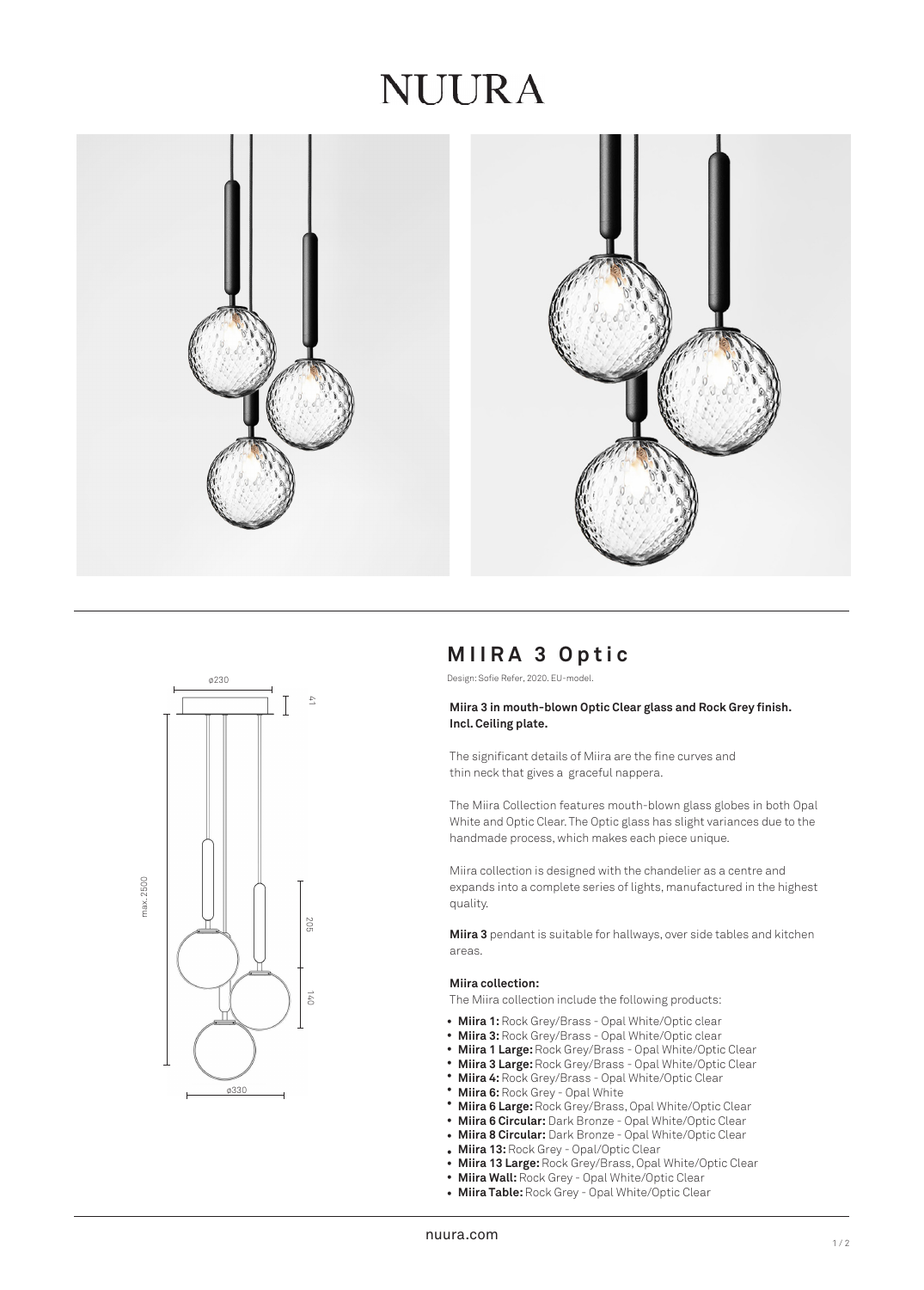## NUURA





## **MIIRA 3 Optic**

Design: Sofie Refer, 2020. EU-model.

## **Miira 3 in mouth-blown Optic Clear glass and Rock Grey finish. Incl. Ceiling plate.**

The significant details of Miira are the fine curves and thin neck that gives a graceful nappera.

The Miira Collection features mouth-blown glass globes in both Opal White and Optic Clear. The Optic glass has slight variances due to the handmade process, which makes each piece unique.

Miira collection is designed with the chandelier as a centre and expands into a complete series of lights, manufactured in the highest quality.

**Miira 3** pendant is suitable for hallways, over side tables and kitchen areas.

#### **Miira collection:**

The Miira collection include the following products:

- Miira 1: Rock Grey/Brass Opal White/Optic clear
- **Miira 3:** Rock Grey/Brass Opal White/Optic clear •
- **Miira 1 Large:** Rock Grey/Brass Opal White/Optic Clear •
- **Miira 3 Large:** Rock Grey/Brass Opal White/Optic Clear •
- **Miira 4:** Rock Grey/Brass Opal White/Optic Clear •
- **Miira 6:** Rock Grey Opal White •
- **Miira 6 Large:** Rock Grey/Brass, Opal White/Optic Clear •
- **Miira 6 Circular:** Dark Bronze Opal White/Optic Clear •
- **Miira 8 Circular:** Dark Bronze Opal White/Optic Clear •
- **Miira 13:** Rock Grey Opal/Optic Clear
- **Miira 13 Large:** Rock Grey/Brass, Opal White/Optic Clear •
- **Miira Wall: Rock Grey Opal White/Optic Clear**
- **Miira Table:** Rock Grey Opal White/Optic Clear •